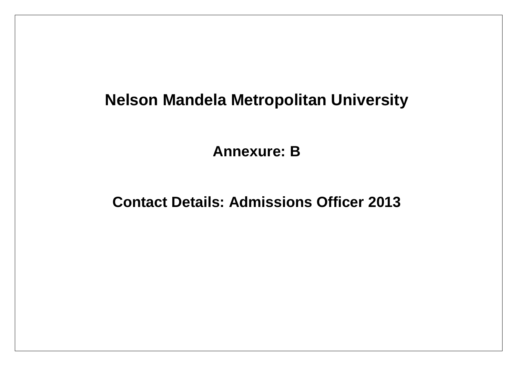# **Nelson Mandela Metropolitan University**

**Annexure: B**

**Contact Details: Admissions Officer 2013**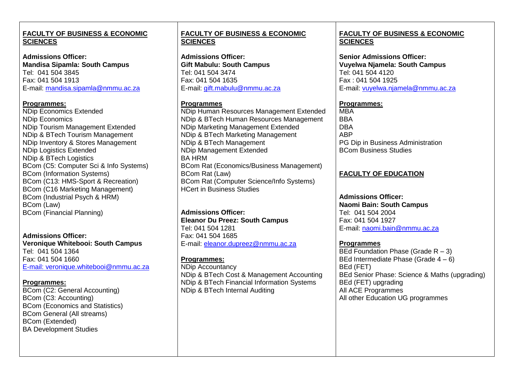## **FACULTY OF BUSINESS & ECONOMIC SCIENCES**

**Admissions Officer: Mandisa Sipamla: South Campus** Tel: 041 504 3845 Fax: 041 504 1913 [E-mail: mandisa.sipamla@nmmu.ac.za](mailto:E-mail:%20mandisa.sipamla@nmmu.ac.za)

#### **Programmes:**

NDip Economics Extended NDip Economics NDip Tourism Management Extended NDip & BTech Tourism Management NDip Inventory & Stores Management NDip Logistics Extended NDip & BTech Logistics BCom (C5: Computer Sci & Info Systems) BCom (Information Systems) BCom (C13: HMS-Sport & Recreation) BCom (C16 Marketing Management) BCom (Industrial Psych & HRM) BCom (Law) BCom (Financial Planning)

**Admissions Officer: Veronique Whitebooi: South Campus** Tel: 041 504 1364 Fax: 041 504 1660 [E-mail: veronique.whitebooi@nmmu.ac.za](mailto:E-mail:%20veronique.whitebooi@nmmu.ac.za)

## **Programmes:**

BCom (C2: General Accounting) BCom (C3: Accounting) BCom (Economics and Statistics) BCom General (All streams) BCom (Extended) BA Development Studies

## **FACULTY OF BUSINESS & ECONOMIC SCIENCES**

**Admissions Officer: Gift Mabulu: South Campus** Tel: 041 504 3474 Fax: 041 504 1635 [E-mail: gift.mabulu@nmmu.ac.za](mailto:E-mail:%20gift.mabulu@nmmu.ac.za)

## **Programmes**

NDip Human Resources Management Extended NDip & BTech Human Resources Management NDip Marketing Management Extended NDip & BTech Marketing Management NDip & BTech Management NDip Management Extended BA HRM BCom Rat (Economics/Business Management) BCom Rat (Law) BCom Rat (Computer Science/Info Systems) HCert in Business Studies

**Admissions Officer: Eleanor Du Preez: South Campus** Tel: 041 504 1281 Fax: 041 504 1685 E-mail: eleanor.dupreez@nmmu.ac.za

## **Programmes:**

NDip Accountancy NDip & BTech Cost & Management Accounting NDip & BTech Financial Information Systems NDip & BTech Internal Auditing

## **FACULTY OF BUSINESS & ECONOMIC SCIENCES**

**Senior Admissions Officer: Vuyelwa Njamela: South Campus** Tel: 041 504 4120 Fax : 041 504 1925 [E-mail: vuyelwa.njamela@nmmu.ac.za](mailto:E-mail:%20vuyelwa.njamela@nmmu.ac.za)

## **Programmes:**

MBA **BBA DBA** ABP PG Dip in Business Administration BCom Business Studies

## **FACULTY OF EDUCATION**

**Admissions Officer: Naomi Bain: South Campus** Tel: 041 504 2004 Fax: 041 504 1927 E-mail: naomi.bain@nmmu.ac.za

**Programmes** BEd Foundation Phase (Grade  $R - 3$ ) BEd Intermediate Phase (Grade 4 – 6) BEd (FET) BEd Senior Phase: Science & Maths (upgrading) BEd (FET) upgrading All ACE Programmes All other Education UG programmes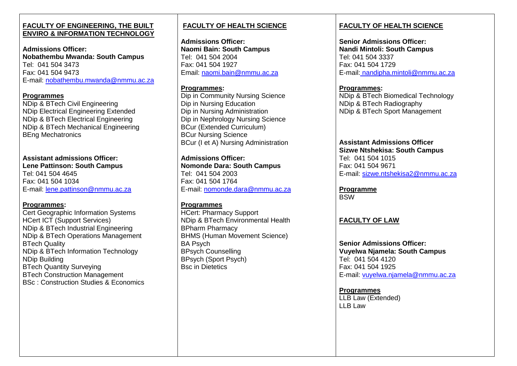#### **FACULTY OF ENGINEERING, THE BUILT ENVIRO & INFORMATION TECHNOLOGY**

**Admissions Officer: Nobathembu Mwanda: South Campus** Tel: 041 504 3473 Fax: 041 504 9473 E-mail: nobathembu.mwanda@nmmu.ac.za

#### **Programmes**

NDip & BTech Civil Engineering NDip Electrical Engineering Extended NDip & BTech Electrical Engineering NDip & BTech Mechanical Engineering BEng Mechatronics

## **Assistant admissions Officer:**

**Lene Pattinson: South Campus** Tel: 041 504 4645 Fax: 041 504 1034 E-mail: lene.pattinson@nmmu.ac.za

## **Programmes:**

Cert Geographic Information Systems HCert ICT (Support Services) NDip & BTech Industrial Engineering NDip & BTech Operations Management BTech Quality NDip & BTech Information Technology NDip Building BTech Quantity Surveying BTech Construction Management BSc : Construction Studies & Economics

## **FACULTY OF HEALTH SCIENCE**

**Admissions Officer: Naomi Bain: South Campus** Tel: 041 504 2004 Fax: 041 504 1927 Email: [naomi.bain@nmmu.ac.za](mailto:naomi.bain@nmmu.ac.za)

## **Programmes:**

Dip in Community Nursing Science Dip in Nursing Education Dip in Nursing Administration Dip in Nephrology Nursing Science BCur (Extended Curriculum) BCur Nursing Science BCur (I et A) Nursing Administration

**Admissions Officer: Nomonde Dara: South Campus** Tel: 041 504 2003 Fax: 041 504 1764 E-mail: nomonde.dara@nmmu.ac.za

## **Programmes**

HCert: Pharmacy Support NDip & BTech Environmental Health BPharm Pharmacy BHMS (Human Movement Science) BA Psych BPsych Counselling BPsych (Sport Psych) Bsc in Dietetics

# **FACULTY OF HEALTH SCIENCE**

**Senior Admissions Officer: Nandi Mintoli: South Campus** Tel: 041 504 3337 Fax: 041 504 1729 E-mail: [nandipha.mintoli@nmmu.ac.za](mailto:E-mail:%20nandipha.mintoli@nmmu.ac.za)

## **Programmes:**

NDip & BTech Biomedical Technology NDip & BTech Radiography NDip & BTech Sport Management

#### **Assistant Admissions Officer Sizwe Ntshekisa: South Campus** [Tel: 041](tel:041) 504 1015 Fax: 041 504 9671 E-mail: sizwe.ntshekisa2@nmmu.ac.za

**Programme** BSW

# **FACULTY OF LAW**

**Senior Admissions Officer: Vuyelwa Njamela: South Campus** Tel: 041 504 4120 Fax: 041 504 1925 E-mail: vuyelwa.njamela@nmmu.ac.za

**Programmes** LLB Law (Extended) LLB Law